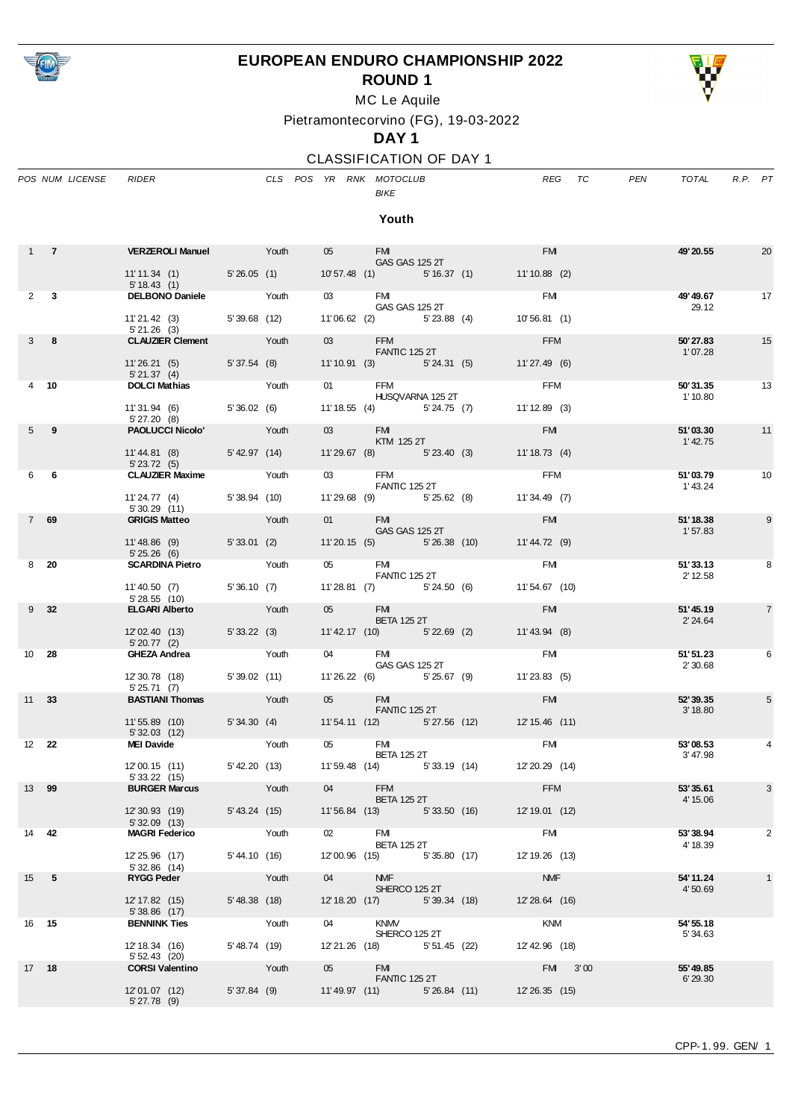

## **EUROPEAN ENDURO CHAMPIONSHIP 2022**



**ROUND 1**

MC Le Aquile

Pietramontecorvino (FG), 19-03-2022

## **DAY 1**

CLASSIFICATION OF DAY 1

|              | POS NUM LICENSE | <b>RIDER</b>                              |                                                                                                                      |              |        | CLS POS YR RNK MOTOCLUB<br><b>BIKE</b>   | REG<br>TC       | PEN | TOTAL                 | R.P. PT         |                |
|--------------|-----------------|-------------------------------------------|----------------------------------------------------------------------------------------------------------------------|--------------|--------|------------------------------------------|-----------------|-----|-----------------------|-----------------|----------------|
|              |                 |                                           |                                                                                                                      |              |        | Youth                                    |                 |     |                       |                 |                |
|              |                 | 1 7 VERZEROLI Manuel Youth                |                                                                                                                      |              | 05 FMI | <b>GAS GAS 125 2T</b>                    | <b>FM</b>       |     | 49'20.55              |                 | 20             |
|              |                 | 11'11.34 (1) 5'26.05 (1)<br>5' 18.43(1)   |                                                                                                                      |              |        | 10'57.48 (1) 5'16.37 (1) 11'10.88 (2)    |                 |     |                       |                 |                |
|              | $2 \quad 3$     | DELBONO Daniele Youth                     |                                                                                                                      |              | 03 FMI | GAS GAS 125 2T                           | <b>FMI</b>      |     | 49'49.67<br>29.12     |                 | 17             |
|              |                 | 11'21.42 (3) 5'39.68 (12)<br>5'21.26(3)   |                                                                                                                      |              |        | 11'06.62 (2) 5'23.88 (4)                 | 10'56.81(1)     |     |                       |                 |                |
|              | $3 \quad 8$     | CLAUZIER Clement Youth                    |                                                                                                                      |              |        | 03 FFM<br><b>EXAMPLE 25 2T</b>           | <b>FFM</b>      |     | 50'27.83<br>1'07.28   | 15              |                |
|              |                 | 11'26.21 (5) 5'37.54 (8)<br>5' 21.37 (4)  |                                                                                                                      |              |        | 11'10.91 (3) 5'24.31 (5)                 | 11'27.49 (6)    |     |                       |                 |                |
|              | 4 10            | DOLCI Mathias Youth                       |                                                                                                                      |              |        | 01 FFM<br>HUSQVARNA 125 2T               | FFM             |     | 50'31.35<br>1' 10.80  | $\overline{13}$ |                |
|              |                 | 11'31.94 (6) 5'36.02 (6)<br>5' 27.20 (8)  |                                                                                                                      |              |        | 11'18.55 (4) 5'24.75 (7)                 | $11' 12.89$ (3) |     |                       |                 |                |
| 5            | 9               | PAOLUCCI Nicolo' Youth                    |                                                                                                                      |              |        | 03 FMI<br>KTM 125 2T                     | <b>EMI</b>      |     | 51'03.30<br>1' 42.75  |                 | 11             |
|              |                 | 11'44.81 (8) 5'42.97 (14)<br>5'23.72(5)   |                                                                                                                      |              |        | 11'29.67 (8) 5'23.40 (3)                 | 11'18.73 (4)    |     |                       |                 |                |
|              | 6 6             | <b>CLAUZIER Maxime</b>                    | Youth                                                                                                                |              |        | 03 FFM 2007<br><b>FANTIC 125 2T</b>      | FFM             |     | 51'03.79<br>1'43.24   |                 | 10             |
|              |                 | 11'24.77 (4) 5'38.94 (10)<br>5'30.29(11)  |                                                                                                                      |              |        | 11'29.68 (9) 5'25.62 (8)                 | 11'34.49 (7)    |     |                       |                 |                |
|              | 7 69            | <b>GRIGIS Matteo</b>                      | <b>Exercía de la Provincia de la Provincia de la Provincia de la Provincia de la Provincia de la Provincia de la</b> |              |        | 01 FMI 2007<br><b>GAS GAS 125 2T</b>     | <b>EMI</b>      |     | 51'18.38<br>1'57.83   |                 | 9              |
|              |                 | 11'48.86 (9) 5'33.01 (2)<br>5'25.26(6)    |                                                                                                                      |              |        | 11'20.15 (5) 5'26.38 (10)                | 11'44.72 (9)    |     |                       |                 |                |
|              | 8 20            | <b>SCARDINA Pietro</b>                    | Youth                                                                                                                |              | 05 FMI | <b>FANTIC 125 2T</b>                     | <b>FMI</b>      |     | 51'33.13<br>2' 12.58  |                 | 8              |
|              |                 | 11'40.50 (7) 5'36.10 (7)<br>5'28.55(10)   |                                                                                                                      |              |        | 11'28.81 (7) 5'24.50 (6)                 | 11'54.67 (10)   |     |                       |                 |                |
|              | $9$ 32          | <b>ELGARI Alberto</b>                     | <b>Example 2014</b>                                                                                                  |              | 05 FMI | <b>BETA 125 2T</b>                       | <b>FM</b>       |     | 51'45.19<br>2' 24.64  |                 | $\overline{7}$ |
|              |                 | 12'02.40 (13) 5'33.22 (3)<br>5' 20.77 (2) |                                                                                                                      |              |        | 11'42.17 (10) 5'22.69 (2)                | $11' 43.94$ (8) |     |                       |                 |                |
| 10 28        |                 | <b>GHEZA Andrea</b>                       | <b>Example 2</b> Youth                                                                                               |              | 04 FMI | <b>GAS GAS 125 2T</b>                    | <b>FMI</b>      |     | 51'51.23<br>2'30.68   |                 | 6              |
|              |                 | 12'30.78 (18) 5'39.02 (11)<br>5'25.71(7)  |                                                                                                                      |              |        | 11'26.22 (6) 5'25.67 (9) 11'23.83 (5)    |                 |     |                       |                 |                |
| 11 33        |                 | <b>BASTIANI Thomas</b> Youth              |                                                                                                                      |              |        | 05 FMI<br><b>EXAMPLE 125 2T</b>          | <b>FM</b>       |     | 52' 39.35<br>3' 18.80 |                 | 5              |
|              |                 | 11'55.89 (10)<br>5' 32.03 (12)            |                                                                                                                      | 5'34.30(4)   |        | 11'54.11 (12) 5'27.56 (12) 12'15.46 (11) |                 |     |                       |                 |                |
| 12 22        |                 | <b>MEI Davide</b>                         | <b>Example 2014</b> Youth                                                                                            |              |        | 05 FMI<br><b>BETA 125 2T</b>             | FM              |     | 53'08.53<br>3'47.98   |                 | 4              |
|              |                 | 12'00.15 (11)<br>5'33.22(15)              | 5' 42.20 (13)                                                                                                        |              |        | 11'59.48 (14) 5'33.19 (14)               | 12' 20.29 (14)  |     |                       |                 |                |
| 13 99        |                 | <b>BURGER Marcus</b>                      | <b>Example 25</b>                                                                                                    |              | 04     | <b>FFM</b><br><b>BETA 125 2T</b>         | <b>FFM</b>      |     | 53' 35.61<br>4' 15.06 |                 | 3              |
|              |                 | 12' 30.93 (19)<br>5'32.09(13)             | 5'43.24 (15)                                                                                                         |              |        | 11'56.84 (13) 5'33.50 (16)               | 12' 19.01 (12)  |     |                       |                 |                |
| 14 42        |                 | <b>MAGRI Federico</b>                     | <b>Example 7</b> Youth                                                                                               |              | 02     | FM<br><b>BETA 125 2T</b>                 | <b>FM</b>       |     | 53'38.94<br>4' 18.39  |                 | $\overline{2}$ |
|              |                 | 12' 25.96 (17)<br>5' 32.86 (14)           | 5' 44.10(16)                                                                                                         |              |        | 12'00.96 (15) 5'35.80 (17)               | 12' 19.26 (13)  |     |                       |                 |                |
| $15 \quad 5$ |                 | <b>RYGG Peder</b>                         |                                                                                                                      | Youth        | 04     | <b>NMF</b><br>SHERCO 125 2T              | <b>NMF</b>      |     | 54' 11.24<br>4'50.69  |                 | $\mathbf{1}$   |
|              |                 | 12' 17.82 (15)<br>$5'38.86$ (17)          | 5'48.38 (18)                                                                                                         |              |        | 12' 18.20 (17) 5' 39.34 (18)             | 12' 28.64 (16)  |     |                       |                 |                |
| 16 15        |                 | <b>BENNINK Ties</b>                       | <b>The Youth</b>                                                                                                     |              | 04     | <b>KNMV</b><br>SHERCO 125 2T             | <b>KNM</b>      |     | 54' 55.18<br>5'34.63  |                 |                |
|              |                 | 12' 18.34 (16)<br>5' 52.43 (20)           | 5'48.74 (19)                                                                                                         |              |        | 12'21.26 (18) 5'51.45 (22)               | 12'42.96 (18)   |     |                       |                 |                |
| 17 18        |                 | <b>CORSI Valentino</b>                    | <b>Example 19</b>                                                                                                    |              | 05     | <b>FMI</b><br><b>FANTIC 125 2T</b>       | FMI 3'00        |     | 55' 49.85<br>6'29.30  |                 |                |
|              |                 | 12'01.07 (12)<br>5'27.78(9)               |                                                                                                                      | 5' 37.84 (9) |        | 11'49.97 (11) 5'26.84 (11)               | 12'26.35 (15)   |     |                       |                 |                |
|              |                 |                                           |                                                                                                                      |              |        |                                          |                 |     |                       |                 |                |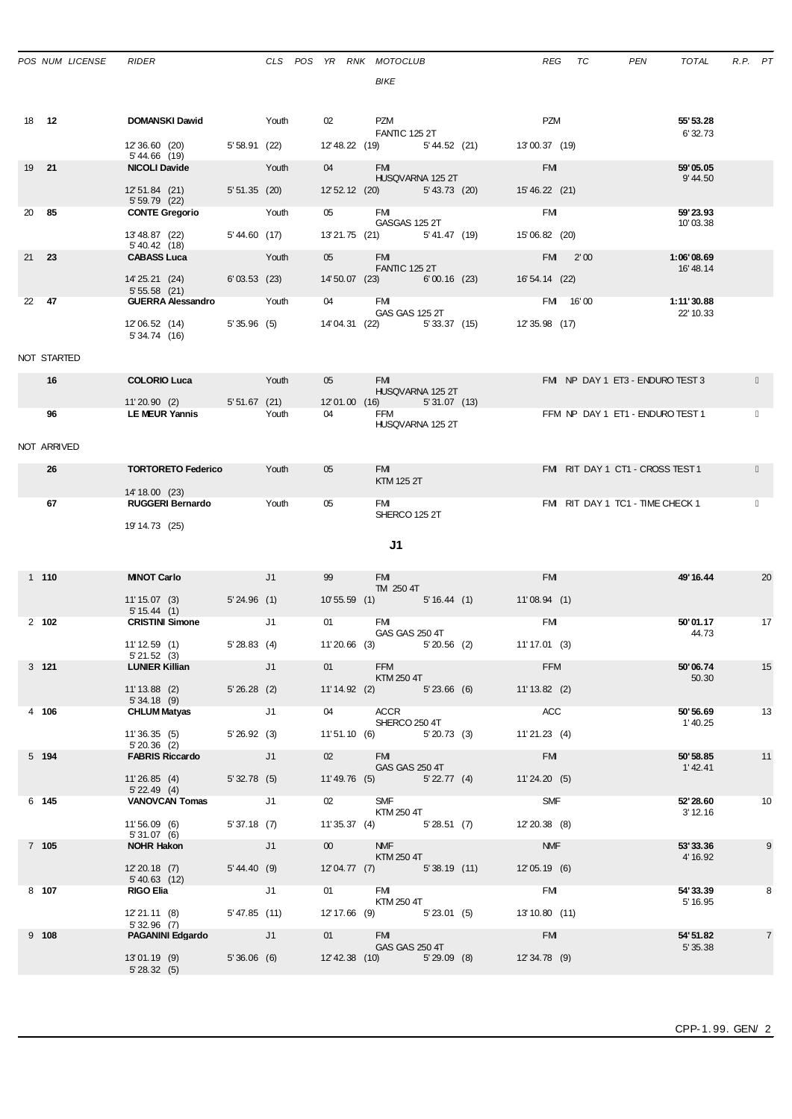|       | POS NUM LICENSE | <b>RIDER</b>                                              |                    |       |                      | CLS POS YR RNK MOTOCLUB<br><b>BIKE</b>                       |               | REG                                                             | TC        | PEN                              | TOTAL                   | R.P. PT |                |
|-------|-----------------|-----------------------------------------------------------|--------------------|-------|----------------------|--------------------------------------------------------------|---------------|-----------------------------------------------------------------|-----------|----------------------------------|-------------------------|---------|----------------|
|       | 18 12           | <b>DOMANSKI Dawid</b><br>12' 36.60 (20)                   | 5'58.91(22)        | Youth | 02 <sub>2</sub>      | PZM<br><b>FANTIC 125 2T</b><br>12' 48.22 (19)                | 5'44.52 (21)  | PZM<br>13'00.37 (19)                                            |           |                                  | 55' 53.28<br>6'32.73    |         |                |
| 19 21 |                 | $5' 44.66$ (19)<br><b>NICOLI Davide</b><br>12' 51.84 (21) | 5'51.35(20)        | Youth | 04                   | <b>FM</b><br>HUSQVARNA 125 2T<br>12' 52.12 (20)              | 5'43.73 (20)  | <b>FM</b><br>15' 46.22 (21)                                     |           |                                  | 59'05.05<br>9' 44.50    |         |                |
|       | 20 85           | 5' 59.79 (22)<br><b>CONTE Gregorio</b>                    |                    | Youth | 05                   | FM<br>GASGAS 125 2T                                          |               | FMI                                                             |           |                                  | 59'23.93<br>10'03.38    |         |                |
| 21 23 |                 | 13'48.87 (22)<br>$5'$ 40.42 (18)<br><b>CABASS Luca</b>    | 5' 44.60 (17)      | Youth | 05                   | 13'21.75 (21)<br><b>FM</b><br><b>FANTIC 125 2T</b>           | 5' 41.47 (19) | 15'06.82 (20)                                                   | FMI 2'00  |                                  | 1:06'08.69<br>16' 48.14 |         |                |
|       | 22 47           | 14' 25.21 (24)<br>$5'55.58$ (21)<br>GUERRA Alessandro     | 6'03.53(23)        | Youth | 04                   | 14'50.07 (23) 6'00.16 (23)<br><b>FM</b>                      |               | 16' 54.14 (22)                                                  | FMI 16'00 |                                  | 1:11'30.88              |         |                |
|       |                 | 12'06.52 (14)<br>5' 34.74 (16)                            | 5'35.96(5)         |       |                      | <b>GAS GAS 125 2T</b><br>14'04.31 (22) 5'33.37 (15)          |               | 12'35.98 (17)                                                   |           |                                  | 22' 10.33               |         |                |
|       | NOT STARTED     |                                                           |                    |       |                      |                                                              |               |                                                                 |           |                                  |                         |         |                |
|       | 16              | <b>COLORIO Luca</b><br>11'20.90(2)                        | 5' 51.67 (21)      | Youth | 05<br>12'01.00 (16)  | <b>FMI</b><br>HUSQVARNA 125 2T                               | 5'31.07(13)   |                                                                 |           | FMI NP DAY 1 ET3 - ENDURO TEST 3 |                         |         |                |
|       | 96              | <b>LE MEUR Yannis</b>                                     |                    | Youth | 04                   | FFM<br>HUSQVARNA 125 2T                                      |               |                                                                 |           | FFM NP DAY 1 ET1 - ENDURO TEST 1 |                         |         |                |
|       | NOT ARRIVED     |                                                           |                    |       |                      |                                                              |               |                                                                 |           |                                  |                         |         |                |
|       | 26              | <b>TORTORETO Federico</b><br>14' 18.00 (23)               |                    | Youth | 05                   | <b>FM</b><br><b>KTM 125 2T</b>                               |               |                                                                 |           | FMI RIT DAY 1 CT1 - CROSS TEST 1 |                         |         |                |
|       | 67              | <b>RUGGERI Bernardo</b>                                   |                    | Youth | 05                   | <b>FMI</b><br>SHERCO 125 2T                                  |               |                                                                 |           | FMI RIT DAY 1 TC1 - TIME CHECK 1 |                         |         |                |
|       |                 | 19' 14.73 (25)                                            |                    |       |                      | J <sub>1</sub>                                               |               |                                                                 |           |                                  |                         |         |                |
|       | 1110            | <b>MINOT Carlo</b><br>$11' 15.07$ (3)                     | 5'24.96(1)         | J1    | 99                   | <b>FM</b><br>TM 250 4T<br>10' 55.59 (1) 5' 16.44 (1)         |               | <b>FM</b><br>11'08.94(1)                                        |           |                                  | 49' 16.44               |         | 20             |
|       | 2, 102          | $5' 15.44$ (1)<br><b>CRISTINI Simone</b>                  |                    | J1    | 01                   | FM                                                           |               | <b>FM</b>                                                       |           |                                  | 50'01.17                |         | 17             |
|       |                 | 11'12.59(1)<br>5' 21.52 (3)                               | 5'28.83(4)         |       |                      | GAS GAS 250 4T<br>11'20.66 (3) 5'20.56 (2)                   |               | $11' 17.01$ (3)                                                 |           |                                  | 44.73                   |         |                |
|       | 3 121           | <b>LUNIER Killian</b><br>11'13.88 (2) 5'26.28 (2)         | J1                 |       | $01$ and $01$        | FFM <b>Example</b><br>KTM 250 4T<br>11'14.92 (2) 5'23.66 (6) |               | <b>FFM</b><br>$11' 13.82$ (2)                                   |           |                                  | 50'06.74<br>50.30       |         | 15             |
|       | 4 106           | 5'34.18(9)<br><b>CHLUM Matyas</b>                         | J1                 |       |                      | 04 ACCR<br>SHERCO 250 4T                                     |               | ACC                                                             |           |                                  | 50'56.69<br>1'40.25     |         | 13             |
|       | 5 194           | 11'36.35 (5)<br>5'20.36(2)<br><b>FABRIS Riccardo</b>      | 5'26.92(3)<br>J1   |       | 02                   | 11'51.10 (6) 5'20.73 (3)<br><b>FM</b>                        |               | 11'21.23 (4)<br><b>EMI</b>                                      |           |                                  | 50' 58.85               |         | 11             |
|       |                 | 11'26.85(4)<br>$5'$ 22.49 (4)                             | 5'32.78(5)         |       |                      | GAS GAS 250 4T<br>11'49.76 (5) 5'22.77 (4)                   |               | 11'24.20 (5)                                                    |           |                                  | 1' 42.41                |         |                |
|       | 6 145           | <b>VANOVCAN Tomas</b><br>11'56.09 (6)                     | J1<br>5'37.18(7)   |       | $02 \quad \text{or}$ | <b>SMF</b><br>KTM 250 4T<br>11'35.37 (4) 5'28.51 (7)         |               | <b>SMF</b><br>12'20.38 (8)                                      |           |                                  | 52' 28.60<br>3' 12.16   |         | 10             |
|       | 7 105           | 5'31.07(6)<br><b>NOHR Hakon</b>                           | и <b>ј</b> 11      |       | 00                   | <b>NMF</b><br>KTM 250 4T                                     |               | <b>NMF</b>                                                      |           |                                  | 53' 33.36<br>4' 16.92   |         | 9              |
|       |                 | 12' 20.18 (7)<br>$5' 40.63$ (12)                          | 5'44.40 (9)        |       |                      | 12'04.77 (7) 5'38.19 (11)                                    |               | 12'05.19 (6)                                                    |           |                                  |                         |         |                |
|       | 8 107           | RIGO Elia<br>12'21.11 (8)                                 | J1<br>5'47.85 (11) |       | 01                   | <b>FMI</b><br>KTM 250 4T<br>12' 17.66 (9) 5' 23.01 (5)       |               | <b>FMI</b><br>13'10.80 (11)                                     |           |                                  | 54' 33.39<br>5' 16.95   |         | 8              |
|       | 9 108           | 5'32.96(7)<br><b>PAGANINI Edgardo</b> J1<br>13'01.19 (9)  |                    |       | 01                   | <b>FM</b><br>GAS GAS 250 4T                                  |               | <b>FM</b><br>5'36.06 (6) 12'42.38 (10) 5'29.09 (8) 12'34.78 (9) |           |                                  | 54' 51.82<br>5' 35.38   |         | $\overline{7}$ |
|       |                 | 5'28.32(5)                                                |                    |       |                      |                                                              |               |                                                                 |           |                                  |                         |         |                |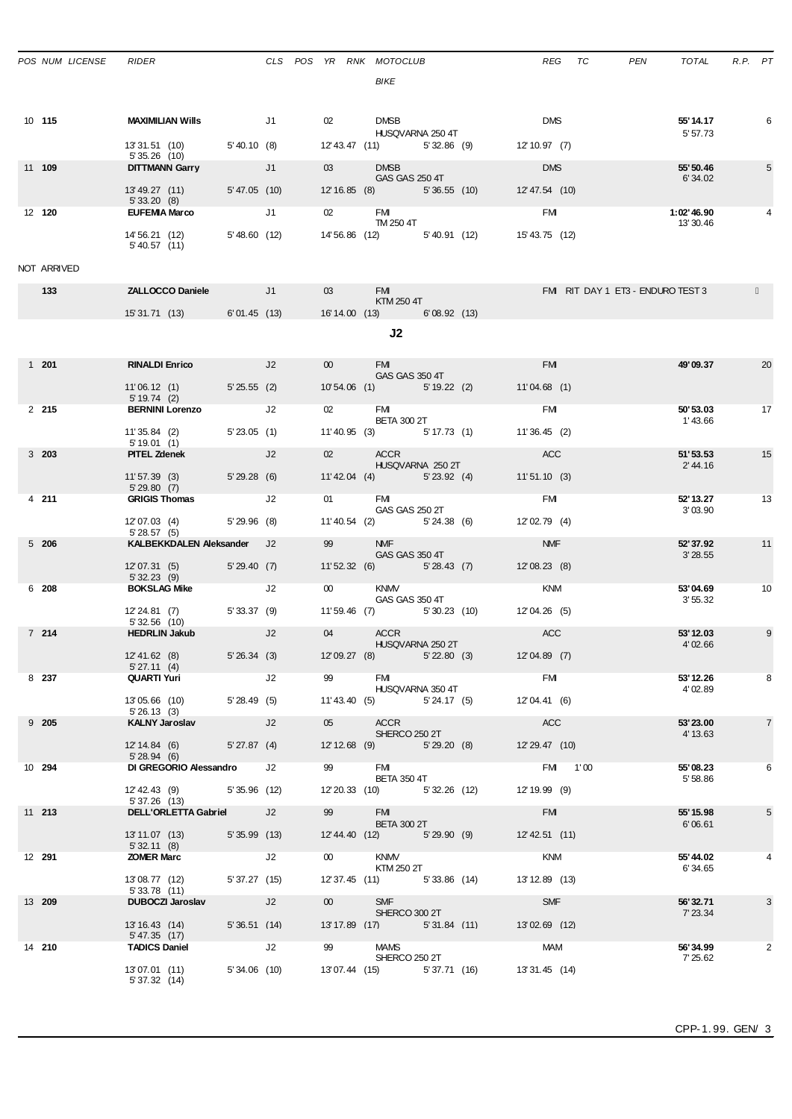| POS NUM LICENSE | <b>RIDER</b>                                 |               |    |          | CLS POS YR RNK MOTOCLUB                        |  | REG                                                          | TC | PEN | TOTAL                             | R.P. PT |                |
|-----------------|----------------------------------------------|---------------|----|----------|------------------------------------------------|--|--------------------------------------------------------------|----|-----|-----------------------------------|---------|----------------|
|                 |                                              |               |    |          | <b>BIKE</b>                                    |  |                                                              |    |     |                                   |         |                |
| 10 115          | MAXIMILIAN Wills                             | J1            |    |          | 02 DMSB                                        |  | <b>DMS</b>                                                   |    |     | 55' 14.17                         |         | 6              |
|                 | 13'31.51 (10) 5'40.10 (8)<br>5' 35.26 (10)   |               |    |          | HUSQVARNA 250 4T                               |  | 12' 43.47 (11) 5' 32.86 (9) 12' 10.97 (7)                    |    |     | 5' 57.73                          |         |                |
| 11 109          | <b>DITTMANN Garry</b>                        | J1            |    | 03       | <b>DMSB</b><br>GAS GAS 250 4T                  |  | <b>DMS</b>                                                   |    |     | 55' 50.46<br>6'34.02              |         | 5              |
|                 | 13' 49.27 (11) 5' 47.05 (10)<br>5' 33.20 (8) |               |    |          | 12' 16.85 (8) 5' 36.55 (10)                    |  | $12' 47.54$ (10)                                             |    |     |                                   |         |                |
| 12 120          | <b>EUFEMIA Marco</b>                         | J1            |    |          | 02 FMI<br>TM 250 4T                            |  | <b>FMI</b>                                                   |    |     | 1:02'46.90<br>13' 30.46           |         |                |
|                 | 14' 56.21 (12) 5' 48.60 (12)<br>5' 40.57(11) |               |    |          |                                                |  | 14' 56.86 (12) 5' 40.91 (12) 15' 43.75 (12)                  |    |     |                                   |         |                |
| NOT ARRIVED     |                                              |               |    |          |                                                |  |                                                              |    |     |                                   |         |                |
| 133             | <b>ZALLOCCO Daniele</b> J1                   |               |    | 03 FMI   | KTM 250 4T                                     |  |                                                              |    |     | FMI RIT DAY 1 ET3 - ENDURO TEST 3 |         |                |
|                 | 15'31.71 (13) 6'01.45 (13)                   |               |    |          | 16'14.00 (13) 6'08.92 (13)                     |  |                                                              |    |     |                                   |         |                |
|                 |                                              |               |    |          | J2.                                            |  |                                                              |    |     |                                   |         |                |
| 1 201           | <b>RINALDI Enrico</b> J2                     |               |    | 00       | <b>EMI</b>                                     |  | <b>FMI</b>                                                   |    |     | 49'09.37                          |         | 20             |
|                 | 11'06.12 (1) 5'25.55 (2)                     |               |    |          | GAS GAS 350 4T                                 |  | 10'54.06 (1) 5'19.22 (2) 11'04.68 (1)                        |    |     |                                   |         |                |
| 2, 215          | 5' 19.74 (2)<br><b>BERNINI Lorenzo</b>       | J2            |    |          | 02 FMI                                         |  | <b>FM</b>                                                    |    |     | 50'53.03                          |         | 17             |
|                 | 11'35.84 (2) 5'23.05 (1)                     |               |    |          | <b>BETA 300 2T</b><br>11'40.95 (3) 5'17.73 (1) |  | 11'36.45 (2)                                                 |    |     | 1'43.66                           |         |                |
| $3\;\;203$      | 5'19.01(1)<br><b>PITEL Zdenek</b>            | J2            |    |          | 02 ACCR                                        |  | <b>ACC</b>                                                   |    |     | 51'53.53                          |         | 15             |
|                 | 11'57.39 (3) 5'29.28 (6)<br>5'29.80(7)       |               |    |          | HUSQVARNA 250 2T<br>11'42.04 (4) 5'23.92 (4)   |  | 11'51.10(3)                                                  |    |     | 2' 44.16                          |         |                |
| 4 211           | <b>GRIGIS Thomas</b>                         | J2            |    | 01 FMI   | GAS GAS 250 2T                                 |  | <b>FMI</b>                                                   |    |     | 52' 13.27<br>3'03.90              |         | 13             |
|                 | 12'07.03 (4) 5'29.96 (8)<br>5'28.57(5)       |               |    |          | 11'40.54 (2) 5'24.38 (6)                       |  | 12'02.79 (4)                                                 |    |     |                                   |         |                |
| 5 206           | KALBEKKDALEN Aleksander J2                   |               |    |          | 99 NMF<br><b>GAS GAS 350 4T</b>                |  | <b>NMF</b>                                                   |    |     | 52'37.92                          |         | 11             |
|                 | 12'07.31 (5) 5'29.40 (7)<br>5'32.23(9)       |               |    |          | 11'52.32 (6) 5'28.43 (7)                       |  | 12'08.23(8)                                                  |    |     | 3'28.55                           |         |                |
| 6 208           | <b>BOKSLAG Mike</b> J2                       |               |    |          | 00 KNMV<br>GAS GAS 350 4T                      |  | KNM                                                          |    |     | 53'04.69<br>3'55.32               |         | 10             |
|                 | $12'24.81$ (7) $5'33.37$ (9)                 |               |    |          |                                                |  | 11'59.46 (7) 5'30.23 (10) 12'04.26 (5)                       |    |     |                                   |         |                |
| 7214            | 5' 32.56 (10)<br><b>HEDRLIN Jakub</b>        |               | J2 | 04       | <b>ACCR</b><br>HUSQVARNA 250 2T                |  | <b>ACC</b>                                                   |    |     | 53' 12.03                         |         | 9              |
|                 | $12' 41.62$ (8)<br>5'27.11(4)                | 5'26.34(3)    |    |          |                                                |  | 12'09.27 (8) 5'22.80 (3) 12'04.89 (7)                        |    |     | 4'02.66                           |         |                |
| 8 237           | <b>QUARTI Yuri</b>                           | J2            |    | 99 FMI   | HUSQVARNA 350 4T                               |  | <b>FM</b>                                                    |    |     | 53' 12.26<br>4' 02.89             |         | 8              |
|                 | 13'05.66 (10)<br>5'26.13(3)                  | 5'28.49(5)    |    |          | 11' 43.40 (5) 5' 24.17 (5)                     |  | 12'04.41 (6)                                                 |    |     |                                   |         |                |
| $9\quad 205$    | <b>KALNY Jaroslav</b>                        | J2            |    |          | 05 ACCR<br>SHERCO 250 2T                       |  | <b>ACC</b>                                                   |    |     | 53'23.00<br>4' 13.63              |         | $\overline{7}$ |
|                 | 12' 14.84 (6) 5' 27.87 (4)<br>5' 28.94 (6)   |               |    |          | 12' 12.68 (9) 5' 29.20 (8)                     |  | 12' 29.47 (10)                                               |    |     |                                   |         |                |
| 10 294          | DI GREGORIO Alessandro J2                    |               |    |          | <b>FMI</b><br><b>BETA 350 4T</b>               |  | <b>FMI</b> 1'00                                              |    |     | 55'08.23<br>5'58.86               |         | 6              |
|                 | 12' 42.43 (9) 5' 35.96 (12)<br>5'37.26 (13)  |               |    |          | 12'20.33 (10) 5'32.26 (12)                     |  | 12'19.99 (9)                                                 |    |     |                                   |         |                |
| 11 213          | DELL'ORLETTA Gabriel J2                      |               |    | 99       | <b>FM</b><br><b>BETA 300 2T</b>                |  | <b>FMI</b>                                                   |    |     | 55' 15.98<br>6'06.61              |         | 5              |
|                 | 13' 11.07 (13)<br>5' 32.11 (8)               | 5'35.99(13)   |    |          | 12' 44.40 (12) 5' 29.90 (9)                    |  | 12' 42.51 (11)                                               |    |     |                                   |         |                |
| 12 291          | <b>ZOMER Marc</b>                            | J2            |    | 00       | <b>KNMV</b><br>KTM 250 2T                      |  | <b>KNM</b>                                                   |    |     | 55' 44.02<br>6'34.65              |         | 4              |
|                 | 13'08.77 (12)<br>5' 33.78 (11)               | 5' 37.27 (15) |    |          | 12'37.45 (11) 5'33.86 (14)                     |  | 13' 12.89 (13)                                               |    |     |                                   |         |                |
| 13 209          | <b>DUBOCZI Jaroslav</b>                      | J2            |    |          | 00 SMF<br>SHERCO 300 2T                        |  | SMF                                                          |    |     | 56' 32.71<br>7' 23.34             |         | 3              |
|                 | 13' 16.43 (14)<br>5' 47.35 (17)              | 5'36.51(14)   |    |          | 13'17.89 (17) 5'31.84 (11)                     |  | $13'02.69$ (12)                                              |    |     |                                   |         |                |
| 14 210          | <b>TADICS Daniel</b>                         | J2            |    | 99 — 100 | <b>MAMS</b><br>SHERCO 250 2T                   |  | <b>MAM</b>                                                   |    |     | 56'34.99<br>7' 25.62              |         | 2              |
|                 | 13'07.01 (11)<br>5' 37.32 (14)               |               |    |          |                                                |  | 5' 34.06 (10)  13' 07.44 (15)  5' 37.71 (16)  13' 31.45 (14) |    |     |                                   |         |                |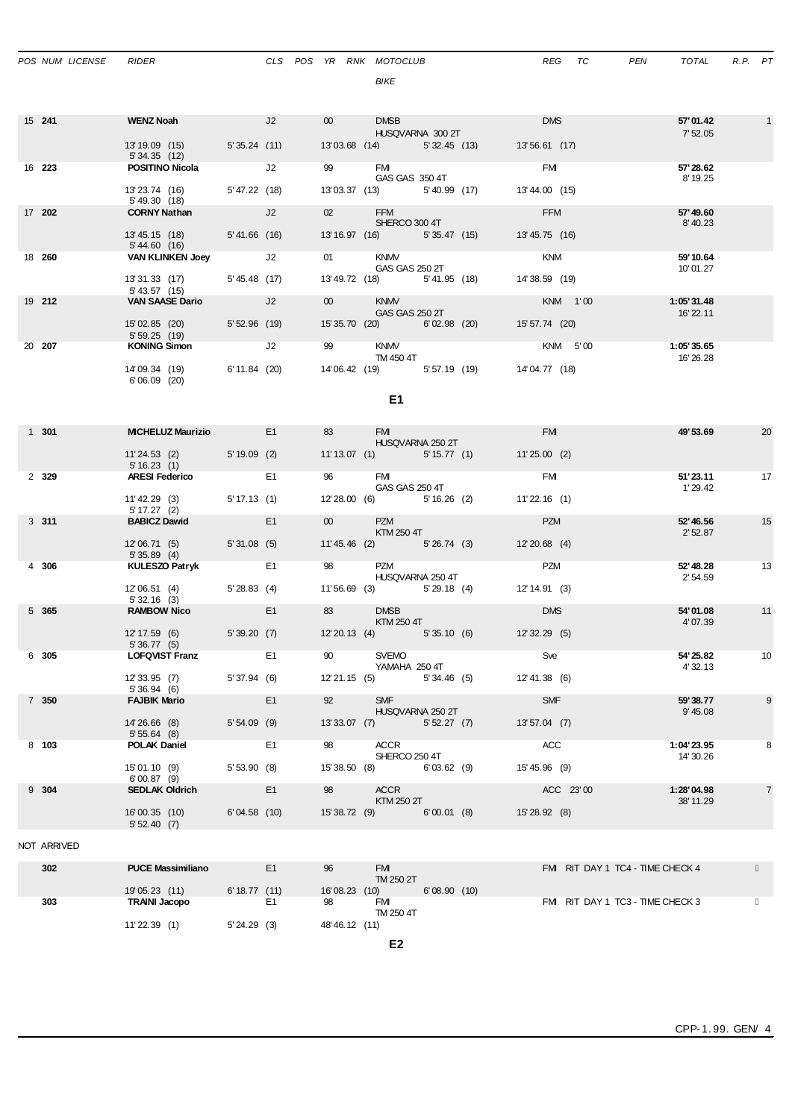*POS NUM LICENSE RIDER CLS POS YR RNK MOTOCLUB REG TC PEN TOTAL R.P. PT*

*BIKE*

15 **241 WENZ Noah** J2 00 DMSB DMS **57'01.42** 1

|        |                                 |                 |                   | HUSQVARNA 300 2T |               | 7'52.05               |
|--------|---------------------------------|-----------------|-------------------|------------------|---------------|-----------------------|
|        | 13' 19.09 (15)<br>5'34.35(12)   | 5'35.24(11)     | 13'03.68 (14)     | 5'32.45(13)      | 13'56.61 (17) |                       |
| 16 223 | <b>POSITINO Nicola</b>          | J2              | 99<br><b>FM</b>   | GAS GAS 350 4T   | <b>FM</b>     | 57' 28.62<br>8' 19.25 |
|        | 13'23.74 (16)<br>5'49.30 (18)   | $5' 47.22$ (18) | 13'03.37<br>(13)  | 5'40.99 (17)     | 13'44.00 (15) |                       |
| 17 202 | <b>CORNY Nathan</b>             | J <sub>2</sub>  | 02<br><b>FFM</b>  | SHERCO 300 4T    | <b>FFM</b>    | 57' 49.60<br>8'40.23  |
|        | 13' 45.15 (18)<br>5' 44.60 (16) | $5' 41.66$ (16) | 13' 16.97 (16)    | 5'35.47(15)      | 13'45.75 (16) |                       |
| 18 260 | <b>VAN KLINKEN Joey</b>         | J <sub>2</sub>  | 01<br><b>KNMV</b> | GAS GAS 250 2T   | <b>KNM</b>    | 59' 10.64<br>10'01.27 |

| ישם שו |                                  |                 | --             | .         | .<br>GAS GAS 250 2T           |               | .                  | --------<br>10'01.27    |
|--------|----------------------------------|-----------------|----------------|-----------|-------------------------------|---------------|--------------------|-------------------------|
|        | 13'31.33 (17)<br>$5'$ 43.57 (15) | $5' 45.48$ (17) |                | 13' 49.72 | (18)                          | 5'41.95 (18)  | 14'38.59 (19)      |                         |
| 19 212 | <b>VAN SAASE Dario</b>           |                 | J <sub>2</sub> | 00        | <b>KNMV</b><br>GAS GAS 250 2T |               | <b>KNM</b><br>1'00 | 1:05'31.48<br>16' 22.11 |
|        | 15' 02.85 (20)<br>5'59.25(19)    | $5'52.96$ (19)  |                | 15' 35.70 | (20)                          | 6'02.98(20)   | 15' 57.74 (20)     |                         |
| 20 207 | <b>KONING Simon</b>              |                 | J <sub>2</sub> | 99        | <b>KNMV</b><br>TM 450 4T      |               | <b>KNM</b><br>5'00 | 1:05'35.65<br>16'26.28  |
|        | 14'09.34 (19)<br>6'06.09 (20)    | $6' 11.84$ (20) |                | 14' 06.42 | (19)                          | 5' 57.19 (19) | 14'04.77 (18)      |                         |

| <b>FM</b><br>GAS GAS 350 4T   | 3) $5'40.99(17)$ $13'44.00(15)$ | <b>FM</b>  | 57'28.62<br>8' 19.25    |  |
|-------------------------------|---------------------------------|------------|-------------------------|--|
| <b>FFM</b><br>SHERCO 300 4T   |                                 | <b>FFM</b> | 57'49.60<br>8' 40.23    |  |
|                               | 6) 5'35.47 (15) 13'45.75 (16)   |            |                         |  |
| <b>KNMV</b><br>GAS GAS 250 2T | 8) $5'41.95(18)$ $14'38.59(19)$ | <b>KNM</b> | 59'10.64<br>10'01.27    |  |
| <b>KNMV</b><br>GAS GAS 250 2T |                                 | KNM 1'00   | 1:05'31.48<br>16' 22.11 |  |
|                               | 0) 6'02.98 (20) 15'57.74 (20)   |            |                         |  |
| <b>KNMV</b><br>TM 450 4T      | 9) 5'57.19 (19) 14'04.77 (18)   | KNM 5'00   | 1:05'35.65<br>16'26.28  |  |
|                               |                                 |            |                         |  |

## **E1**

| 1301  | <b>MICHELUZ Maurizio</b>       |                | E <sub>1</sub> | 83     | <b>FM</b><br>HUSQVARNA 250 2T  |              |                            | <b>FM</b>       |           | 49'53.69                | 20             |
|-------|--------------------------------|----------------|----------------|--------|--------------------------------|--------------|----------------------------|-----------------|-----------|-------------------------|----------------|
|       | 11'24.53(2)<br>5'16.23(1)      | $5' 19.09$ (2) |                |        | 11'13.07(1)                    |              | 5' 15.77 (1) 11' 25.00 (2) |                 |           |                         |                |
| 2 329 | <b>ARESI Federico</b>          |                | E <sub>1</sub> | 96     | <b>FM</b><br>GAS GAS 250 4T    |              |                            | <b>FM</b>       |           | 51'23.11<br>1'29.42     | 17             |
|       | 11'42.29 (3)<br>$5' 17.27$ (2) | 5' 17.13(1)    |                |        | 12'28.00 (6)                   | 5' 16.26 (2) |                            | 11'22.16(1)     |           |                         |                |
| 3311  | <b>BABICZ Dawid</b>            |                | E1             | $00\,$ | <b>PZM</b><br>KTM 250 4T       |              |                            | <b>PZM</b>      |           | 52' 46.56<br>2'52.87    | 15             |
|       | 12'06.71(5)<br>5'35.89(4)      | 5'31.08(5)     |                |        | 11'45.46 (2) 5'26.74 (3)       |              |                            | $12'20.68$ (4)  |           |                         |                |
| 4 306 | <b>KULESZO Patryk</b>          |                | E <sub>1</sub> | 98     | <b>PZM</b><br>HUSQVARNA 250 4T |              |                            | <b>PZM</b>      |           | 52'48.28<br>2' 54.59    | 13             |
|       | 12'06.51(4)<br>5'32.16(3)      | 5'28.83(4)     |                |        | 11'56.69 (3) 5'29.18 (4)       |              |                            | $12' 14.91$ (3) |           |                         |                |
| 5 365 | <b>RAMBOW Nico</b>             |                | E1             | 83     | <b>DMSB</b><br>KTM 250 4T      |              |                            | <b>DMS</b>      |           | 54'01.08<br>4'07.39     | 11             |
|       | 12'17.59 (6)<br>5'36.77(5)     | 5'39.20(7)     |                |        | 12'20.13(4)                    | 5'35.10(6)   |                            | 12'32.29(5)     |           |                         |                |
| 6 305 | <b>LOFQVIST Franz</b>          |                | E <sub>1</sub> | 90     | <b>SVEMO</b><br>YAMAHA 250 4T  |              |                            | Sve             |           | 54'25.82<br>4'32.13     | 10             |
|       | 12'33.95 (7)<br>5'36.94(6)     | 5'37.94(6)     |                |        | 12'21.15 (5)                   | 5'34.46(5)   |                            | 12'41.38 (6)    |           |                         |                |
| 7 350 | <b>FAJBIK Mario</b>            |                | E1             | 92     | <b>SMF</b><br>HUSQVARNA 250 2T |              |                            | <b>SMF</b>      |           | 59'38.77<br>9' 45.08    | 9              |
|       | 14'26.66 (8)<br>5'55.64(8)     | $5'54.09$ (9)  |                |        | 13'33.07 (7)                   | 5'52.27(7)   |                            | 13'57.04 (7)    |           |                         |                |
| 8 103 | <b>POLAK Daniel</b>            |                | E <sub>1</sub> | 98     | <b>ACCR</b><br>SHERCO 250 4T   |              |                            | ACC             |           | 1:04'23.95<br>14' 30.26 | 8              |
|       | 15'01.10 (9)<br>6'00.87(9)     | 5'53.90(8)     |                |        | 15'38.50 (8) 6'03.62 (9)       |              |                            | 15' 45.96 (9)   |           |                         |                |
| 9 304 | <b>SEDLAK Oldrich</b>          |                | E1             | 98     | <b>ACCR</b><br>KTM 250 2T      |              |                            |                 | ACC 23'00 | 1:28'04.98<br>38' 11.29 | $\overline{7}$ |
|       | 16'00.35 (10)<br>5'52.40(7)    | 6'04.58(10)    |                |        | 15' 38.72 (9)                  | 6'00.01(8)   |                            | 15'28.92(8)     |           |                         |                |

NOT ARRIVED

| 302 | <b>PUCE Massimiliano</b> |             | E <sub>1</sub> | 96            | <b>FM</b><br>TM 250 2T |                 | FMI RIT DAY 1 TC4 - TIME CHECK 4 |  |
|-----|--------------------------|-------------|----------------|---------------|------------------------|-----------------|----------------------------------|--|
|     | 19'05.23 (11)            | 6' 18.77    | (11)           | 16'08.23      | (10)                   | 6'08.90<br>(10) |                                  |  |
| 303 | <b>TRAINI Jacopo</b>     |             |                | 98            | <b>FM</b><br>TM 250 4T |                 | FMIRIT DAY 1 TC3 - TIME CHECK 3  |  |
|     | $11'$ 22.39 $(1)$        | 5'24.29 (3) |                | 48'46.12 (11) |                        |                 |                                  |  |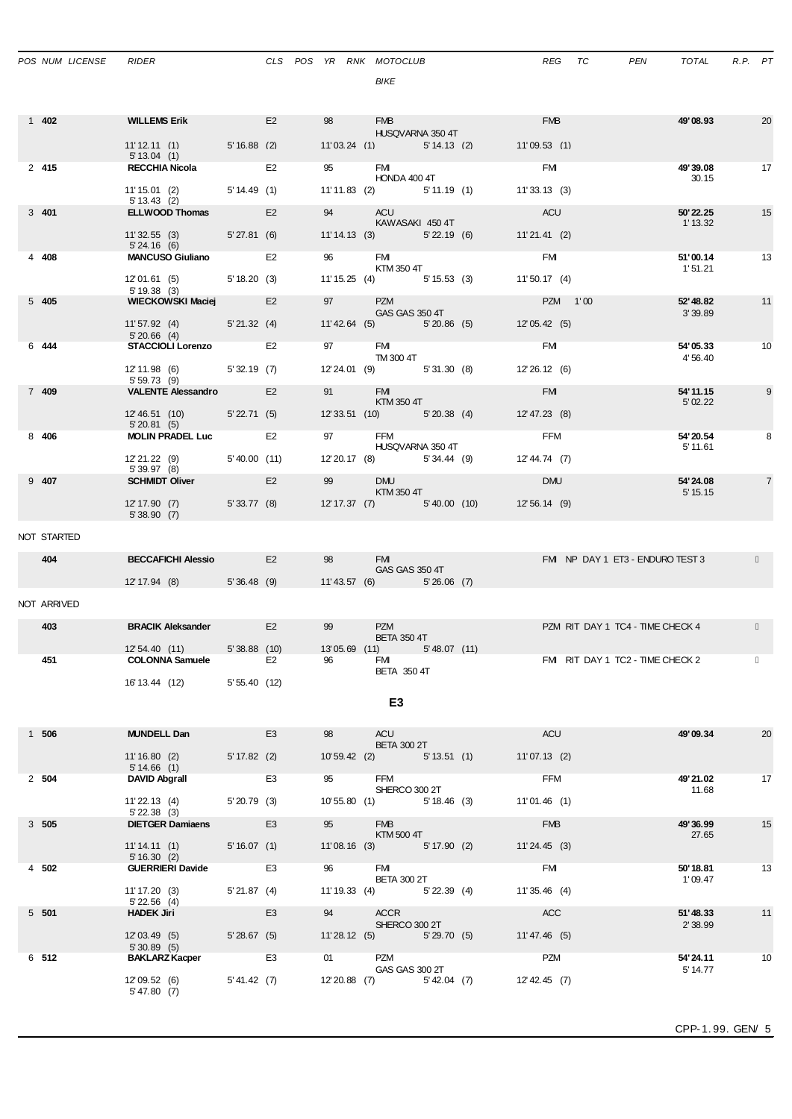|  | POS NUM LICENSE | <b>RIDE</b> |
|--|-----------------|-------------|
|  |                 |             |

*BIKE*

| 1402        | <b>WILLEMS Erik Andrew Williams</b>                      |                | E <sub>2</sub> | 98       | FMB <b>EXISTENCIAL CONTRACT CONTRACT CONTRACT</b>       | <b>FMB</b>                       | 49'08.93                         | 20             |
|-------------|----------------------------------------------------------|----------------|----------------|----------|---------------------------------------------------------|----------------------------------|----------------------------------|----------------|
|             | 11'12.11 (1) 5'16.88 (2)<br>$5' 13.04$ (1)               |                |                |          | HUSQVARNA 350 4T<br>11'03.24 (1) 5'14.13 (2)            | 11'09.53(1)                      |                                  |                |
| 2,415       | <b>RECCHIA Nicola</b>                                    |                | E <sub>2</sub> |          | <b>FMI</b><br>HONDA 400 4T                              | <b>FMI</b>                       | 49'39.08<br>30.15                | 17             |
|             | 11'15.01 (2) 5'14.49 (1)<br>$5' 13.43$ (2)               |                |                |          | 11'11.83 (2) 5'11.19 (1)                                | 11'33.13(3)                      |                                  |                |
| 3401        | ELLWOOD Thomas                                           |                | E <sub>2</sub> | 94       | <b>ACU</b><br>KAWASAKI 450 4T                           | ACU                              | 50'22.25<br>1' 13.32             | 15             |
|             | 11'32.55 (3) 5'27.81 (6)<br>5'24.16(6)                   |                |                |          | 11'14.13 (3) 5'22.19 (6)                                | $11'21.41$ (2)                   |                                  |                |
| 4 4 0 8     | <b>MANCUSO Giuliano</b>                                  |                | E <sub>2</sub> | 96 — 100 | <b>FMI</b><br>KTM 350 4T                                | <b>FM</b>                        | 51'00.14<br>1'51.21              | 13             |
|             | 12'01.61 (5) 5'18.20 (3)<br>5'19.38(3)                   |                |                |          | 11' 15.25 (4) 5' 15.53 (3)                              | 11'50.17 (4)                     |                                  |                |
| 5 405       | WIECKOWSKI Maciej E2                                     |                |                |          | <b>PZM</b><br>GAS GAS 350 4T                            | <b>PZM</b> 1'00                  | 52'48.82<br>3'39.89              | 11             |
|             | 11'57.92 (4) 5'21.32 (4)<br>5'20.66(4)                   |                |                |          | 11'42.64 (5) 5'20.86 (5)                                | 12'05.42(5)                      |                                  |                |
| 6 444       | <b>STACCIOLI Lorenzo</b>                                 |                | E <sub>2</sub> |          | 97 FMI<br>TM 300 4T                                     | <b>FMI</b>                       | 54'05.33<br>4'56.40              | 10             |
|             | 12' 11.98 (6) 5' 32.19 (7)<br>5'59.73(9)                 |                |                |          | 12' 24.01 (9) 5' 31.30 (8)                              | 12' 26.12 (6)                    |                                  |                |
| 7 409       | <b>VALENTE Alessandro</b>                                |                | E <sub>2</sub> | 91       | <b>FM</b><br>KTM 350 4T                                 | <b>EMI</b>                       | 54'11.15<br>5' 02.22             | 9              |
|             | 12' 46.51 (10) 5' 22.71 (5)<br>5'20.81(5)                |                |                |          | 12' 33.51 (10) 5' 20.38 (4)                             | 12'47.23 (8)                     |                                  |                |
| 8 406       | <b>MOLIN PRADEL Luc</b>                                  |                | E <sub>2</sub> | 97 — 10  | FFM<br>HUSQVARNA 350 4T                                 | <b>FFM</b>                       | 54'20.54<br>5' 11.61             | 8              |
|             | 12'21.22 (9) 5'40.00 (11)                                |                |                |          | 12' 20.17 (8) 5' 34.44 (9)                              | 12' 44.74 (7)                    |                                  |                |
| 9 407       | 5'39.97(8)<br><b>SCHMIDT Oliver And American SCHMIDT</b> |                | E2             |          | <b>DMU</b>                                              | <b>DMU</b>                       | 54'24.08                         | $\overline{7}$ |
|             | 12'17.90 (7) 5'33.77 (8)<br>5'38.90(7)                   |                |                |          | KTM 350 4T<br>12' 17.37 (7) 5' 40.00 (10) 12' 56.14 (9) |                                  | 5' 15.15                         |                |
| NOT STARTED |                                                          |                |                |          |                                                         |                                  |                                  |                |
| 404         | <b>BECCAFICHI Alessio</b>                                |                | E2             |          | <b>FM</b>                                               |                                  | FMI NP DAY 1 ET3 - ENDURO TEST 3 |                |
|             | 12' 17.94 (8) 5' 36.48 (9)                               |                |                |          | GAS GAS 350 4T<br>11'43.57 (6) 5'26.06 (7)              |                                  |                                  |                |
| NOT ARRIVED |                                                          |                |                |          |                                                         |                                  |                                  |                |
| 403         | <b>BRACIK Aleksander</b>                                 |                | E2             | 99       | <b>PZM</b>                                              | PZM RIT DAY 1 TC4 - TIME CHECK 4 |                                  |                |
|             | 12' 54.40 (11)                                           | 5'38.88(10)    |                |          | <b>BETA 350 4T</b><br>13'05.69 (11) 5'48.07 (11)        |                                  |                                  |                |
| 451         | <b>COLONNA Samuele</b>                                   |                | E <sub>2</sub> | 96 — 1   | FM<br><b>BETA 350 4T</b>                                | FMI RIT DAY 1 TC2 - TIME CHECK 2 |                                  |                |
|             | 16' 13.44 (12)                                           | 5'55.40(12)    |                |          |                                                         |                                  |                                  |                |
|             |                                                          |                |                |          | E <sub>3</sub>                                          |                                  |                                  |                |
| 1 506       | <b>MUNDELL Dan</b>                                       |                | E <sub>3</sub> | 98       | ACU                                                     | ACU                              | 49'09.34                         | 20             |
|             | 11'16.80 (2)                                             | $5' 17.82$ (2) |                |          | <b>BETA 300 2T</b><br>10' 59.42 (2) 5' 13.51 (1)        | $11'07.13$ (2)                   |                                  |                |
| 2 504       | 5'14.66(1)<br>DAVID Abgrall                              |                | E <sub>3</sub> | 95       | <b>FFM</b>                                              | <b>FFM</b>                       | 49'21.02                         | 17             |
|             | 11'22.13 (4)                                             | 5'20.79(3)     |                |          | SHERCO 300 2T<br>10' 55.80 (1) 5' 18.46 (3)             | 11'01.46(1)                      | 11.68                            |                |
| 3, 505      | $5'$ 22.38 (3)<br><b>DIETGER Damiaens</b>                |                | E <sub>3</sub> | 95       | FMB <sub>2</sub>                                        | <b>EMB</b>                       | 49'36.99                         | 15             |
|             | 11'14.11 (1) 5'16.07 (1)                                 |                |                |          | KTM 500 4T<br>11'08.16 (3) 5'17.90 (2)                  | 11'24.45(3)                      | 27.65                            |                |
| 4 502       | 5' 16.30 (2)<br><b>GUERRIERI Davide F3</b>               |                |                |          | <b>FMI</b>                                              | <b>FM</b>                        | 50'18.81                         | 13             |
|             | 11' 17.20(3)                                             | 5'21.87(4)     |                |          | <b>BETA 300 2T</b><br>11'19.33 (4) 5'22.39 (4)          | 11'35.46(4)                      | 1'09.47                          |                |
|             | 5' 22.56 (4)                                             |                |                | 94       |                                                         | ACC                              |                                  |                |
| 5 501       | <b>HADEK Jiri</b>                                        |                | E <sub>3</sub> |          | ACCR <b>ACCR</b><br>SHERCO 300 2T                       |                                  | 51'48.33<br>2' 38.99             | 11             |
|             | 12'03.49 (5)<br>5'30.89(5)                               | 5'28.67(5)     |                |          | 11'28.12 (5) 5'29.70 (5)                                | 11'47.46 (5)                     |                                  |                |
| $6\;\;512$  | <b>BAKLARZ Kacper</b>                                    | E3             |                | 01       | PZM<br>GAS GAS 300 2T                                   | <b>PZM</b>                       | 54' 24.11<br>5' 14.77            | 10             |
|             | 12'09.52 (6)<br>5' 47.80 (7)                             | 5' 41.42 (7)   |                |          | 12' 20.88 (7) 5' 42.04 (7)                              | 12' 42.45 (7)                    |                                  |                |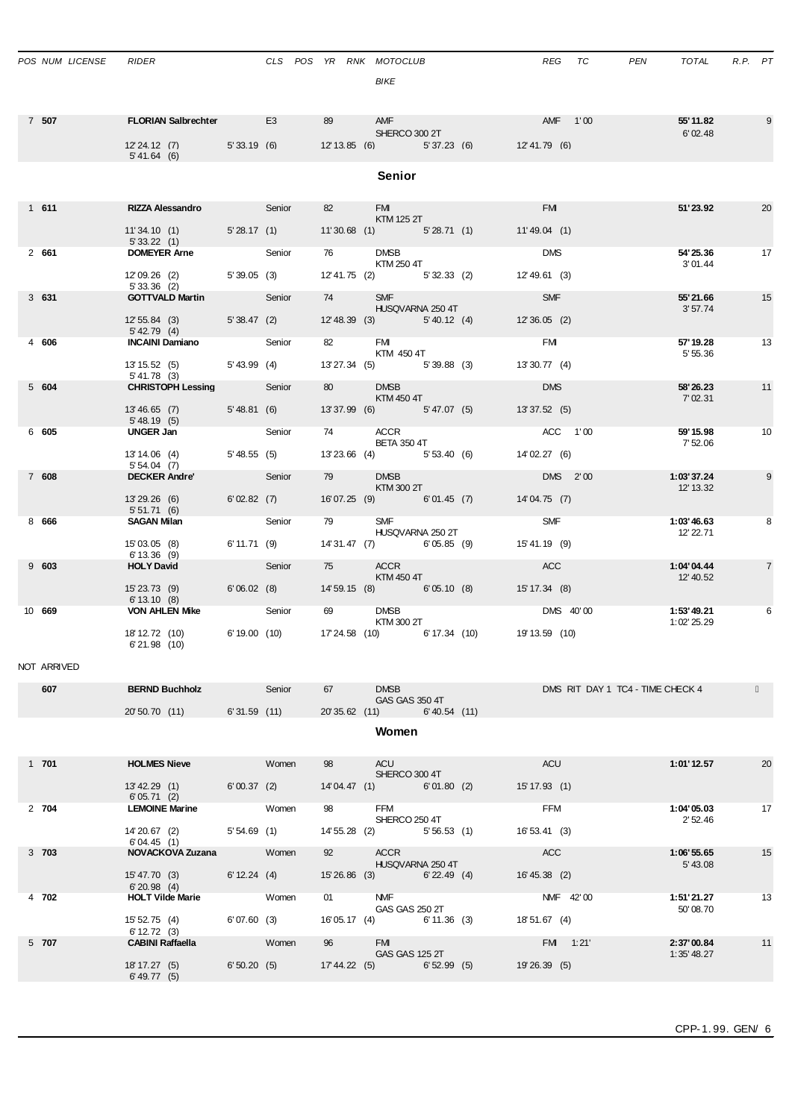| POS NUM LICENSE | <b>RIDER</b>                                      |                           | CLS POS YR RNK MOTOCLUB                                      |         |                                                        |  | <b>REG</b>      | TC | PEN                              | TOTAL                     | R.P. PT |                |
|-----------------|---------------------------------------------------|---------------------------|--------------------------------------------------------------|---------|--------------------------------------------------------|--|-----------------|----|----------------------------------|---------------------------|---------|----------------|
|                 |                                                   |                           |                                                              |         | <b>BIKE</b>                                            |  |                 |    |                                  |                           |         |                |
|                 |                                                   |                           |                                                              |         |                                                        |  |                 |    |                                  |                           |         |                |
| 7 507           | <b>EXAMPLE SET FLORIAN Salbrechter</b> E3         |                           |                                                              |         | 89 AMF                                                 |  | <b>AMF</b> 1'00 |    |                                  | 55' 11.82                 |         | 9              |
|                 | 12'24.12 (7) 5'33.19 (6)<br>5' 41.64 (6)          |                           |                                                              |         | SHERCO 300 2T<br>12'13.85 (6) 5'37.23 (6) 12'41.79 (6) |  |                 |    |                                  | 6'02.48                   |         |                |
|                 |                                                   |                           |                                                              |         | <b>Senior</b>                                          |  |                 |    |                                  |                           |         |                |
|                 |                                                   |                           |                                                              |         |                                                        |  |                 |    |                                  |                           |         |                |
| 1 611           | <b>RIZZA Alessandro</b> Senior                    |                           |                                                              |         | <b>FMI EXISTENT</b><br><b>KTM 125 2T</b>               |  | <b>FM</b>       |    |                                  | 51'23.92                  |         | 20             |
|                 | 11'34.10 (1) 5'28.17 (1)                          |                           |                                                              |         | 11'30.68 (1) 5'28.71 (1)                               |  | 11'49.04 (1)    |    |                                  |                           |         |                |
| 2 661           | 5'33.22(1)<br><b>DOMEYER Arne</b> Senior          |                           |                                                              | 76 — 17 | DMSB<br>KTM 250 4T                                     |  | DMS             |    |                                  | 54'25.36                  |         | 17             |
|                 | 12'09.26 (2) 5'39.05 (3)<br>5' 33.36 (2)          |                           |                                                              |         | 12' 41.75 (2) 5' 32.33 (2) 12' 49.61 (3)               |  |                 |    |                                  | 3'01.44                   |         |                |
| 3 631           | <b>GOTTVALD Martin</b> Senior                     |                           |                                                              |         | 74 SMF<br><b>HUSQVARNA 250 4T</b>                      |  | <b>SMF</b>      |    |                                  | 55' 21.66<br>3'57.74      |         | 15             |
|                 | 12' 55.84 (3) 5' 38.47 (2)                        |                           |                                                              |         | 12' 48.39 (3) 5' 40.12 (4)                             |  | 12'36.05(2)     |    |                                  |                           |         |                |
| 4 606           | 5' 42.79(4)<br><b>INCAINI Damiano</b> Senior      |                           |                                                              |         | 82 FMI                                                 |  | FMI             |    |                                  | 57' 19.28                 |         | 13             |
|                 | 13' 15.52 (5) 5' 43.99 (4)                        |                           |                                                              |         | KTM 450 4T<br>13' 27.34 (5) 5' 39.88 (3)               |  | 13' 30.77 (4)   |    |                                  | 5' 55.36                  |         |                |
| 5 604           | $5' 41.78$ (3)<br><b>CHRISTOPH Lessing Senior</b> |                           |                                                              |         | 80 DMSB                                                |  | <b>DMS</b>      |    |                                  | 58'26.23                  |         | 11             |
|                 | 13'46.65 (7) 5'48.81 (6)                          |                           |                                                              |         | KTM 450 4T<br>13' 37.99 (6) 5' 47.07 (5)               |  | 13'37.52 (5)    |    |                                  | 7'02.31                   |         |                |
| 6 605           | 5' 48.19(5)<br>UNGER Jan                          | <b>Senior</b>             |                                                              |         | 74 ACCR                                                |  | ACC 1'00        |    |                                  | 59' 15.98                 |         | 10             |
|                 |                                                   |                           |                                                              |         | <b>BETA 350 4T</b>                                     |  |                 |    |                                  | 7' 52.06                  |         |                |
|                 | 13' 14.06 (4)<br>5'54.04(7)                       |                           | 5'48.55 (5)                                                  |         | 13' 23.66 (4) 5' 53.40 (6)                             |  | 14'02.27 (6)    |    |                                  |                           |         |                |
| 7 608           | <b>DECKER Andre'</b>                              | <b>Senior</b>             |                                                              | 79 — 1  | <b>DMSB</b><br>KTM 300 2T                              |  | <b>DMS</b> 2'00 |    |                                  | 1:03'37.24<br>12' 13.32   |         | 9              |
|                 | 13'29.26 (6)<br>5' 51.71 (6)                      |                           | 6'02.82(7)                                                   |         | 16'07.25 (9) 6'01.45 (7)                               |  | 14'04.75(7)     |    |                                  |                           |         |                |
| 8 666           | <b>SAGAN Milan</b>                                | <b>Senior</b>             |                                                              | 79 SMF  | HUSQVARNA 250 2T                                       |  | <b>SMF</b>      |    |                                  | 1:03'46.63<br>12' 22.71   |         | 8              |
|                 | 15'03.05 (8)<br>6' 13.36 (9)                      |                           | 6'11.71 (9)                                                  |         | 14'31.47 (7) 6'05.85 (9)                               |  | 15' 41.19 (9)   |    |                                  |                           |         |                |
| 9603            | <b>HOLY David</b>                                 | <b>Senior</b>             |                                                              |         | 75 ACCR<br><b>Example 18 STM 450 4T</b>                |  | <b>ACC</b>      |    |                                  | 1:04'04.44<br>12' 40.52   |         | $\overline{7}$ |
|                 | 15'23.73 (9) 6'06.02 (8)                          |                           |                                                              |         | 14'59.15 (8) 6'05.10 (8) 15'17.34 (8)                  |  |                 |    |                                  |                           |         |                |
| 10 669          | 6' 13.10(8)<br><b>VON AHLEN Mike</b> Senior       |                           |                                                              |         | 69 DMSB                                                |  | DMS 40'00       |    |                                  | 1:53'49.21                |         | 6              |
|                 | 18' 12.72 (10)                                    |                           | 6' 19.00 (10)  17' 24.58 (10)  6' 17.34 (10)  19' 13.59 (10) |         | $KTM$ 300 2T                                           |  |                 |    |                                  | 1:02' 25.29               |         |                |
|                 | 6'21.98 (10)                                      |                           |                                                              |         |                                                        |  |                 |    |                                  |                           |         |                |
| NOT ARRIVED     |                                                   |                           |                                                              |         |                                                        |  |                 |    |                                  |                           |         |                |
| 607             | <b>BERND Buchholz BERND</b>                       |                           | Senior                                                       | 67      | DMSB <b>DMSB</b><br>GAS GAS 350 4T                     |  |                 |    | DMS RIT DAY 1 TC4 - TIME CHECK 4 |                           |         |                |
|                 | 20'50.70 (11) 6'31.59 (11)                        |                           |                                                              |         | 20'35.62 (11) 6'40.54 (11)                             |  |                 |    |                                  |                           |         |                |
|                 |                                                   |                           |                                                              |         | Women                                                  |  |                 |    |                                  |                           |         |                |
| 1701            | <b>HOLMES Nieve</b>                               |                           | Women                                                        | 98      | ACU                                                    |  | <b>ACU</b>      |    |                                  | 1:01'12.57                |         | 20             |
|                 | 13'42.29 (1) 6'00.37 (2)                          |                           |                                                              |         | SHERCO 300 4T<br>14'04.47 (1) 6'01.80 (2)              |  | 15' 17.93 (1)   |    |                                  |                           |         |                |
|                 | 6'05.71(2)                                        |                           |                                                              |         |                                                        |  |                 |    |                                  |                           |         |                |
| 2 704           | <b>LEMOINE Marine</b> Women                       |                           |                                                              | 98      | <b>FFM</b><br>SHERCO 250 4T                            |  | FFM             |    |                                  | 1:04'05.03<br>2' 52.46    |         | 17             |
|                 | 14'20.67 (2) 5'54.69 (1)<br>6'04.45(1)            |                           |                                                              |         | 14' 55.28 (2) 5' 56.53 (1)                             |  | 16' 53.41 (3)   |    |                                  |                           |         |                |
| 3 703           | NOVACKOVA Zuzana Women                            |                           |                                                              | 92      | ACCR<br>HUSQVARNA 250 4T                               |  | <b>ACC</b>      |    |                                  | 1:06'55.65<br>5' 43.08    |         | 15             |
|                 | 15'47.70 (3) 6'12.24 (4)<br>6'20.98(4)            |                           |                                                              |         | 15'26.86 (3) 6'22.49 (4)                               |  | 16'45.38 (2)    |    |                                  |                           |         |                |
| 4 702           | <b>HOLT Vilde Marie</b> Women                     |                           |                                                              |         | 01 NMF<br><b>GAS GAS 250 2T</b>                        |  | NMF 42'00       |    |                                  | 1:51'21.27<br>50'08.70    |         | 13             |
|                 | 15' 52.75 (4) 6' 07.60 (3)<br>6' 12.72(3)         |                           |                                                              |         | 16'05.17 (4) 6'11.36 (3)                               |  | 18'51.67 (4)    |    |                                  |                           |         |                |
| 5 707           | <b>CABINI Raffaella</b>                           | <b>Example 2019 Women</b> |                                                              | 96      | <b>FMI</b><br><b>GAS GAS 125 2T</b>                    |  | FMI 1:21'       |    |                                  | 2:37'00.84<br>1:35' 48.27 |         | 11             |

18' 17.27 (5) 6' 50.20 (5) 17' 44.22 (5) 6' 52.99 (5) 19' 26.39 (5)

6' 49.77 (5)